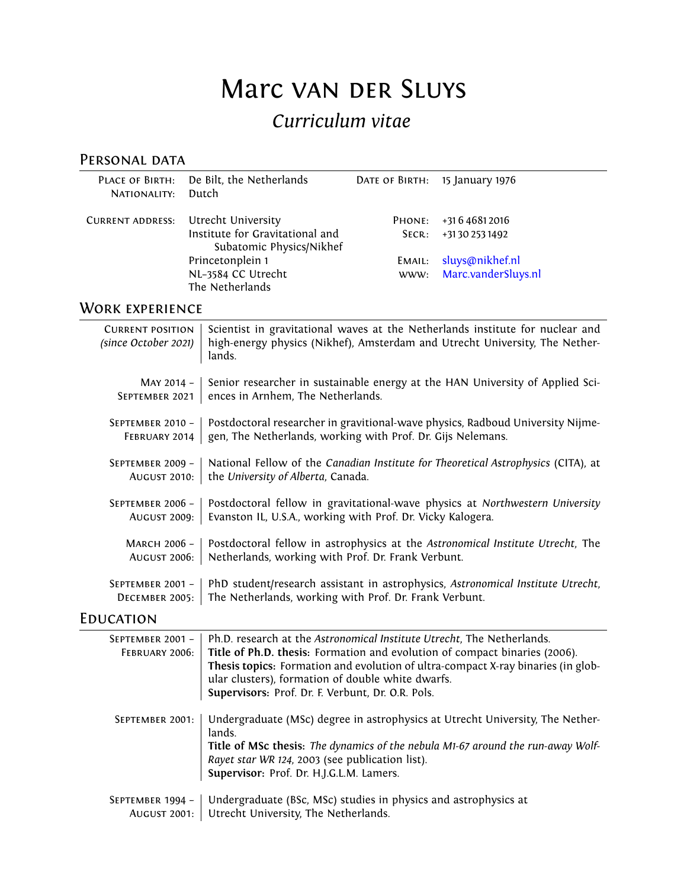# Marc van DER SLUYS

# *Curriculum vitae*

# PERSONAL DATA

| NATIONALITY:            | PLACE OF BIRTH: De Bilt, the Netherlands<br>– Dutch                               | DATE OF BIRTH: 15 January 1976 |                                             |
|-------------------------|-----------------------------------------------------------------------------------|--------------------------------|---------------------------------------------|
| <b>CURRENT ADDRESS:</b> | Utrecht University<br>Institute for Gravitational and<br>Subatomic Physics/Nikhef | PHONE:<br>SECR:                | +31 6 4 6 8 1 2 0 1 6<br>+31302531492       |
|                         | Princetonplein 1<br>NL-3584 CC Utrecht<br>The Netherlands                         | EMAIL:                         | sluys@nikhef.nl<br>www: Marc.vanderSluys.nl |

# WORK EXPERIENCE

| <b>CURRENT POSITION</b><br>(since October 2021) | Scientist in gravitational waves at the Netherlands institute for nuclear and<br>high-energy physics (Nikhef), Amsterdam and Utrecht University, The Nether-<br>lands. |
|-------------------------------------------------|------------------------------------------------------------------------------------------------------------------------------------------------------------------------|
| MAY 2014 -                                      | Senior researcher in sustainable energy at the HAN University of Applied Sci-                                                                                          |
| SEPTEMBER 2021                                  | ences in Arnhem, The Netherlands.                                                                                                                                      |
| SEPTEMBER 2010 -                                | Postdoctoral researcher in gravitional-wave physics, Radboud University Nijme-                                                                                         |
| FEBRUARY 2014                                   | gen, The Netherlands, working with Prof. Dr. Gijs Nelemans.                                                                                                            |
| SEPTEMBER 2009 -                                | National Fellow of the Canadian Institute for Theoretical Astrophysics (CITA), at                                                                                      |
| <b>AUGUST 2010:</b>                             | the University of Alberta, Canada.                                                                                                                                     |
| SEPTEMBER 2006 -                                | Postdoctoral fellow in gravitational-wave physics at Northwestern University                                                                                           |
| AUGUST 2009:                                    | Evanston IL, U.S.A., working with Prof. Dr. Vicky Kalogera.                                                                                                            |
| MARCH 2006 -                                    | Postdoctoral fellow in astrophysics at the Astronomical Institute Utrecht, The                                                                                         |
| <b>AUGUST 2006:</b>                             | Netherlands, working with Prof. Dr. Frank Verbunt.                                                                                                                     |
| SEPTEMBER 2001 -                                | PhD student/research assistant in astrophysics, Astronomical Institute Utrecht,                                                                                        |
| DECEMBER 2005:                                  | The Netherlands, working with Prof. Dr. Frank Verbunt.                                                                                                                 |

# **EDUCATION**

| SEPTEMBER 2001 -<br>FEBRUARY 2006:      | Ph.D. research at the Astronomical Institute Utrecht, The Netherlands.<br>Title of Ph.D. thesis: Formation and evolution of compact binaries (2006).<br>Thesis topics: Formation and evolution of ultra-compact X-ray binaries (in glob-<br>ular clusters), formation of double white dwarfs.<br>Supervisors: Prof. Dr. F. Verbunt, Dr. O.R. Pols. |
|-----------------------------------------|----------------------------------------------------------------------------------------------------------------------------------------------------------------------------------------------------------------------------------------------------------------------------------------------------------------------------------------------------|
| SEPTEMBER 2001:                         | Undergraduate (MSc) degree in astrophysics at Utrecht University, The Nether-<br>lands.<br>Title of MSc thesis: The dynamics of the nebula M1-67 around the run-away Wolf-<br>Rayet star WR 124, 2003 (see publication list).<br>Supervisor: Prof. Dr. H.J.G.L.M. Lamers.                                                                          |
| SEPTEMBER 1994 -<br><b>AUGUST 2001:</b> | Undergraduate (BSc, MSc) studies in physics and astrophysics at<br>Utrecht University, The Netherlands.                                                                                                                                                                                                                                            |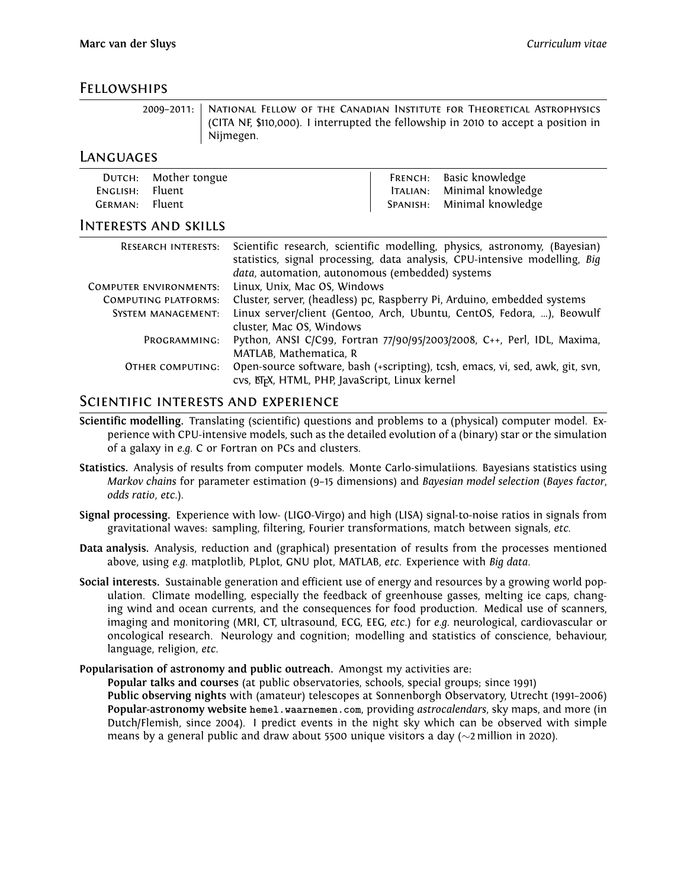#### Fellowships

2009–2011: National Fellow of the Canadian Institute for Theoretical Astrophysics (CITA NF, \$110,000). I interrupted the fellowship in 2010 to accept a position in Nijmegen.

#### Languages

|                 | DUTCH: Mother tongue | FRENCH: Basic knowledge    |
|-----------------|----------------------|----------------------------|
| ENGLISH: Fluent |                      | ITALIAN: Minimal knowledge |
| GERMAN: Fluent  |                      | SPANISH: Minimal knowledge |

#### Interests and skills

| <b>RESEARCH INTERESTS:</b>    | Scientific research, scientific modelling, physics, astronomy, (Bayesian)<br>statistics, signal processing, data analysis, CPU-intensive modelling, Big<br>data, automation, autonomous (embedded) systems |
|-------------------------------|------------------------------------------------------------------------------------------------------------------------------------------------------------------------------------------------------------|
| <b>COMPUTER ENVIRONMENTS:</b> | Linux, Unix, Mac OS, Windows                                                                                                                                                                               |
| <b>COMPUTING PLATFORMS:</b>   | Cluster, server, (headless) pc, Raspberry Pi, Arduino, embedded systems                                                                                                                                    |
| <b>SYSTEM MANAGEMENT:</b>     | Linux server/client (Gentoo, Arch, Ubuntu, CentOS, Fedora, ), Beowulf<br>cluster, Mac OS, Windows                                                                                                          |
| PROGRAMMING:                  | Python, ANSI C/C99, Fortran 77/90/95/2003/2008, C++, Perl, IDL, Maxima,<br>MATLAB, Mathematica, R                                                                                                          |
| OTHER COMPUTING:              | Open-source software, bash (+scripting), tcsh, emacs, vi, sed, awk, git, svn,<br>cvs, ETFX, HTML, PHP, JavaScript, Linux kernel                                                                            |

#### Scientific interests and experience

- **Scientific modelling.** Translating (scientific) questions and problems to a (physical) computer model. Experience with CPU-intensive models, such as the detailed evolution of a (binary) star or the simulation of a galaxy in *e.g.* C or Fortran on PCs and clusters.
- **Statistics.** Analysis of results from computer models. Monte Carlo-simulatiions. Bayesians statistics using *Markov chains* for parameter estimation (9–15 dimensions) and *Bayesian model selection* (*Bayes factor*, *odds ratio*, *etc*.).
- **Signal processing.** Experience with low- (LIGO-Virgo) and high (LISA) signal-to-noise ratios in signals from gravitational waves: sampling, filtering, Fourier transformations, match between signals, *etc.*
- **Data analysis.** Analysis, reduction and (graphical) presentation of results from the processes mentioned above, using *e.g.* matplotlib, PLplot, GNU plot, MATLAB, *etc*. Experience with *Big data*.
- **Social interests.** Sustainable generation and efficient use of energy and resources by a growing world population. Climate modelling, especially the feedback of greenhouse gasses, melting ice caps, changing wind and ocean currents, and the consequences for food production. Medical use of scanners, imaging and monitoring (MRI, CT, ultrasound, ECG, EEG, *etc*.) for *e.g.* neurological, cardiovascular or oncological research. Neurology and cognition; modelling and statistics of conscience, behaviour, language, religion, *etc*.
- **Popularisation of astronomy and public outreach.** Amongst my activities are:

**Popular talks and courses** (at public observatories, schools, special groups; since 1991) **Public observing nights** with (amateur) telescopes at Sonnenborgh Observatory, Utrecht (1991–2006) **Popular-astronomy website hemel.waarnemen.com**, providing *astrocalendars*, sky maps, and more (in Dutch/Flemish, since 2004). I predict events in the night sky which can be observed with simple means by a general public and draw about 5500 unique visitors a day (*∼*2 million in 2020).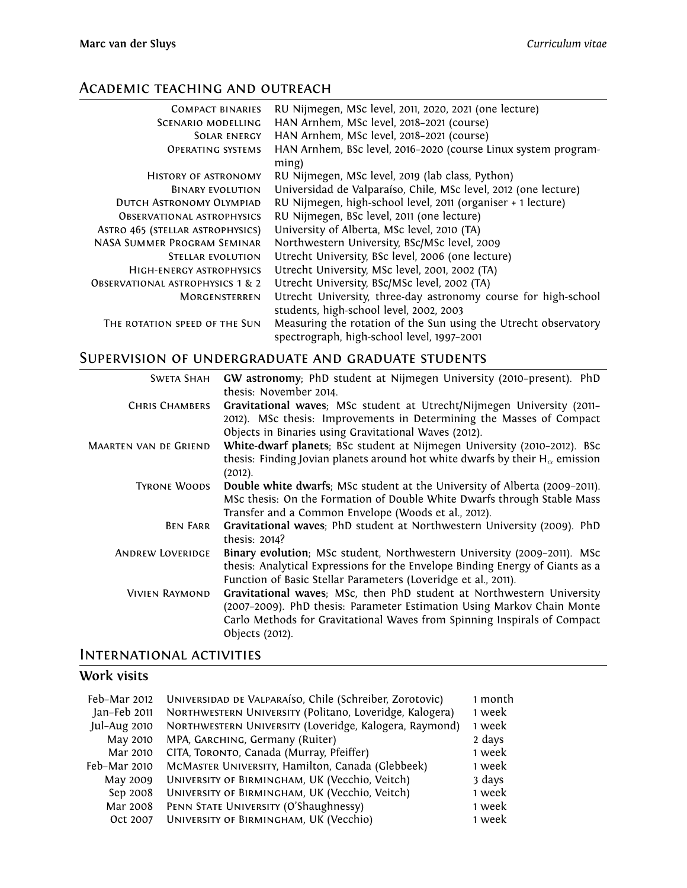# Academic teaching and outreach

| <b>COMPACT BINARIES</b>                     | RU Nijmegen, MSc level, 2011, 2020, 2021 (one lecture)          |
|---------------------------------------------|-----------------------------------------------------------------|
| SCENARIO MODELLING                          | HAN Arnhem, MSc level, 2018-2021 (course)                       |
| SOLAR ENERGY                                | HAN Arnhem, MSc level, 2018-2021 (course)                       |
| <b>OPERATING SYSTEMS</b>                    | HAN Arnhem, BSc level, 2016-2020 (course Linux system program-  |
|                                             | ming)                                                           |
| HISTORY OF ASTRONOMY                        | RU Nijmegen, MSc level, 2019 (lab class, Python)                |
| BINARY EVOLUTION                            | Universidad de Valparaíso, Chile, MSc level, 2012 (one lecture) |
| DUTCH ASTRONOMY OLYMPIAD                    | RU Nijmegen, high-school level, 2011 (organiser + 1 lecture)    |
| <b>OBSERVATIONAL ASTROPHYSICS</b>           | RU Nijmegen, BSc level, 2011 (one lecture)                      |
| ASTRO 465 (STELLAR ASTROPHYSICS)            | University of Alberta, MSc level, 2010 (TA)                     |
| NASA SUMMER PROGRAM SEMINAR                 | Northwestern University, BSc/MSc level, 2009                    |
| STELLAR EVOLUTION                           | Utrecht University, BSc level, 2006 (one lecture)               |
| HIGH-ENERGY ASTROPHYSICS                    | Utrecht University, MSc level, 2001, 2002 (TA)                  |
| <b>OBSERVATIONAL ASTROPHYSICS 1 &amp; 2</b> | Utrecht University, BSc/MSc level, 2002 (TA)                    |
| <b>MORGENSTERREN</b>                        | Utrecht University, three-day astronomy course for high-school  |
|                                             | students, high-school level, 2002, 2003                         |
| THE ROTATION SPEED OF THE SUN               | Measuring the rotation of the Sun using the Utrecht observatory |
|                                             | spectrograph, high-school level, 1997-2001                      |

### Supervision of undergraduate and graduate students

| <b>SWETA SHAH</b>            | GW astronomy; PhD student at Nijmegen University (2010-present). PhD<br>thesis: November 2014.                                                                                                                                                 |
|------------------------------|------------------------------------------------------------------------------------------------------------------------------------------------------------------------------------------------------------------------------------------------|
| <b>CHRIS CHAMBERS</b>        | Gravitational waves; MSc student at Utrecht/Nijmegen University (2011-<br>2012). MSc thesis: Improvements in Determining the Masses of Compact<br>Objects in Binaries using Gravitational Waves (2012).                                        |
| <b>MAARTEN VAN DE GRIEND</b> | White-dwarf planets; BSc student at Nijmegen University (2010-2012). BSc<br>thesis: Finding Jovian planets around hot white dwarfs by their $H_{\alpha}$ emission<br>(2012).                                                                   |
| <b>TYRONE WOODS</b>          | Double white dwarfs; MSc student at the University of Alberta (2009-2011).<br>MSc thesis: On the Formation of Double White Dwarfs through Stable Mass<br>Transfer and a Common Envelope (Woods et al., 2012).                                  |
| BEN FARR                     | Gravitational waves; PhD student at Northwestern University (2009). PhD<br>thesis: 2014?                                                                                                                                                       |
| <b>ANDREW LOVERIDGE</b>      | Binary evolution; MSc student, Northwestern University (2009-2011). MSc<br>thesis: Analytical Expressions for the Envelope Binding Energy of Giants as a<br>Function of Basic Stellar Parameters (Loveridge et al., 2011).                     |
| <b>VIVIEN RAYMOND</b>        | Gravitational waves; MSc, then PhD student at Northwestern University<br>(2007-2009). PhD thesis: Parameter Estimation Using Markov Chain Monte<br>Carlo Methods for Gravitational Waves from Spinning Inspirals of Compact<br>Objects (2012). |

#### International activities

# **Work visits**

| Feb-Mar 2012 | UNIVERSIDAD DE VALPARAÍSO, Chile (Schreiber, Zorotovic) | 1 month |
|--------------|---------------------------------------------------------|---------|
| Jan-Feb 2011 | NORTHWESTERN UNIVERSITY (Politano, Loveridge, Kalogera) | 1 week  |
| Jul-Aug 2010 | NORTHWESTERN UNIVERSITY (Loveridge, Kalogera, Raymond)  | 1 week  |
| May 2010     | MPA, GARCHING, Germany (Ruiter)                         | 2 days  |
| Mar 2010     | CITA, TORONTO, Canada (Murray, Pfeiffer)                | 1 week  |
| Feb-Mar 2010 | MCMASTER UNIVERSITY, Hamilton, Canada (Glebbeek)        | 1 week  |
| May 2009     | UNIVERSITY OF BIRMINGHAM, UK (Vecchio, Veitch)          | 3 days  |
| Sep 2008     | UNIVERSITY OF BIRMINGHAM, UK (Vecchio, Veitch)          | 1 week  |
| Mar 2008     | PENN STATE UNIVERSITY (O'Shaughnessy)                   | 1 week  |
| Oct 2007     | UNIVERSITY OF BIRMINGHAM, UK (Vecchio)                  | 1 week  |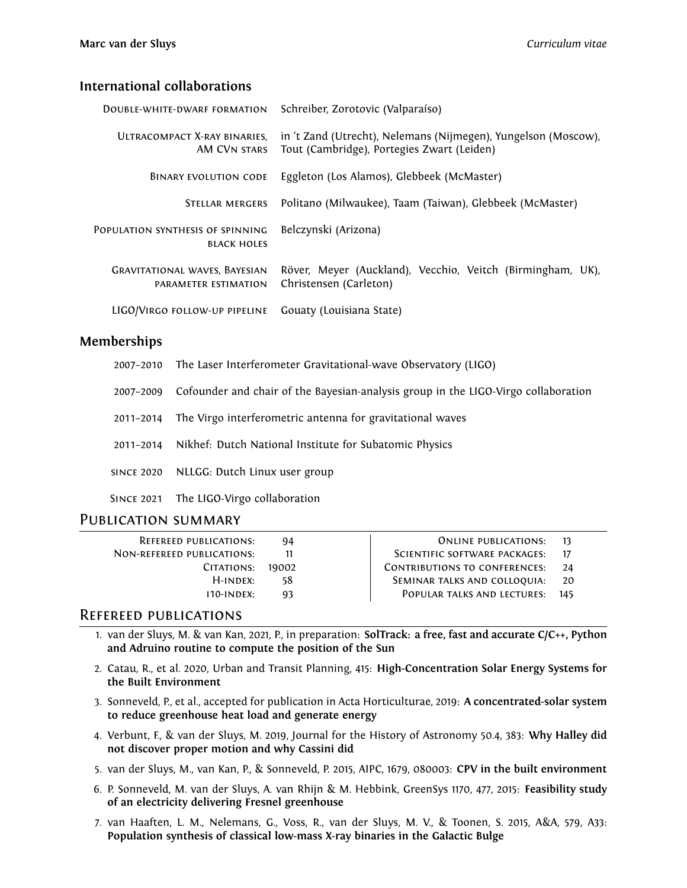#### **International collaborations**

| DOUBLE-WHITE-DWARF FORMATION                                 | Schreiber, Zorotovic (Valparaíso)                                                                            |
|--------------------------------------------------------------|--------------------------------------------------------------------------------------------------------------|
| ULTRACOMPACT X-RAY BINARIES.<br>AM CVN STARS                 | in 't Zand (Utrecht), Nelemans (Nijmegen), Yungelson (Moscow),<br>Tout (Cambridge), Portegies Zwart (Leiden) |
| <b>BINARY EVOLUTION CODE</b>                                 | Eggleton (Los Alamos), Glebbeek (McMaster)                                                                   |
| STELLAR MERGERS                                              | Politano (Milwaukee), Taam (Taiwan), Glebbeek (McMaster)                                                     |
| POPULATION SYNTHESIS OF SPINNING<br><b>BLACK HOLES</b>       | Belczynski (Arizona)                                                                                         |
| <b>GRAVITATIONAL WAVES, BAYESIAN</b><br>PARAMETER ESTIMATION | Röver, Meyer (Auckland), Vecchio, Veitch (Birmingham, UK),<br>Christensen (Carleton)                         |
| LIGO/VIRGO FOLLOW-UP PIPELINE                                | Gouaty (Louisiana State)                                                                                     |

#### **Memberships**

| 2007-2010 The Laser Interferometer Gravitational-wave Observatory (LIGO) |  |
|--------------------------------------------------------------------------|--|
|--------------------------------------------------------------------------|--|

- 2007–2009 Cofounder and chair of the Bayesian-analysis group in the LIGO-Virgo collaboration
- 2011–2014 The Virgo interferometric antenna for gravitational waves
- 2011–2014 Nikhef: Dutch National Institute for Subatomic Physics
- since 2020 NLLGG: Dutch Linux user group
- Since 2021 The LIGO-Virgo collaboration

#### Publication summary

| <b>REFEREED PUBLICATIONS:</b> | 94    | ONLINE PUBLICATIONS:                 |     |
|-------------------------------|-------|--------------------------------------|-----|
| NON-REFEREED PUBLICATIONS:    | 11    | SCIENTIFIC SOFTWARE PACKAGES:        |     |
| CITATIONS:                    | 19002 | <b>CONTRIBUTIONS TO CONFERENCES:</b> | 24  |
| $H$ -INDEX:                   | 58    | SEMINAR TALKS AND COLLOQUIA:         | 20  |
| $110$ -INDEX:                 | 93    | POPULAR TALKS AND LECTURES:          | 145 |
|                               |       |                                      |     |

#### Refereed publications

- 1. van der Sluys, M. & van Kan, 2021, P., in preparation: **SolTrack: a free, fast and accurate C/C++, Python and Adruino routine to compute the position of the Sun**
- 2. Catau, R., et al. 2020, Urban and Transit Planning, 415: **High-Concentration Solar Energy Systems for the Built Environment**
- 3. Sonneveld, P., et al., accepted for publication in Acta Horticulturae, 2019: **A concentrated-solar system to reduce greenhouse heat load and generate energy**
- 4. Verbunt, F., & van der Sluys, M. 2019, Journal for the History of Astronomy 50.4, 383: **Why Halley did not discover proper motion and why Cassini did**
- 5. van der Sluys, M., van Kan, P., & Sonneveld, P. 2015, AIPC, 1679, 080003: **CPV in the built environment**
- 6. P. Sonneveld, M. van der Sluys, A. van Rhijn & M. Hebbink, GreenSys 1170, 477, 2015: **Feasibility study of an electricity delivering Fresnel greenhouse**
- 7. van Haaften, L. M., Nelemans, G., Voss, R., van der Sluys, M. V., & Toonen, S. 2015, A&A, 579, A33: **Population synthesis of classical low-mass X-ray binaries in the Galactic Bulge**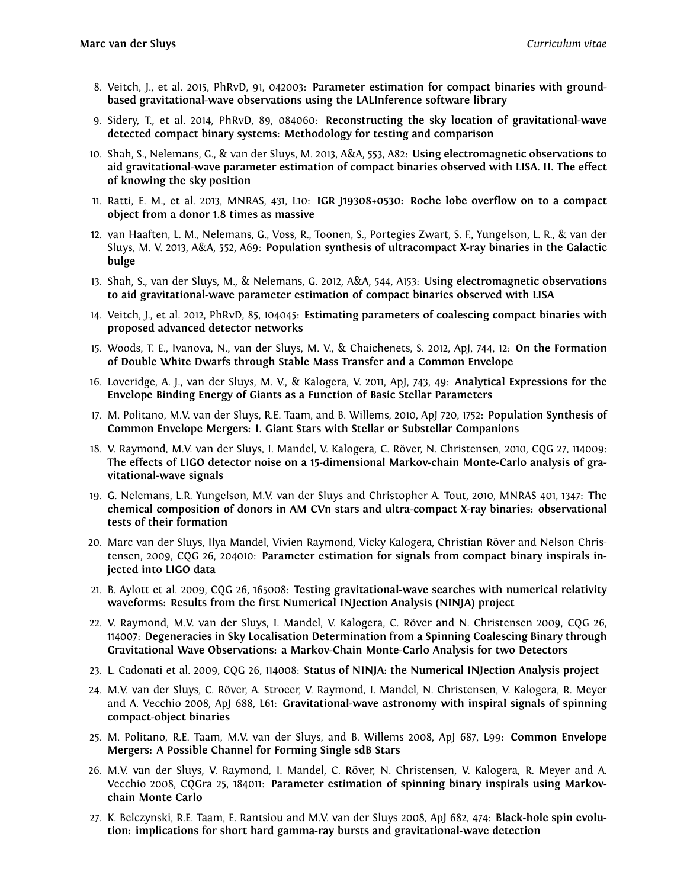- 8. Veitch, J., et al. 2015, PhRvD, 91, 042003: **Parameter estimation for compact binaries with groundbased gravitational-wave observations using the LALInference software library**
- 9. Sidery, T., et al. 2014, PhRvD, 89, 084060: **Reconstructing the sky location of gravitational-wave detected compact binary systems: Methodology for testing and comparison**
- 10. Shah, S., Nelemans, G., & van der Sluys, M. 2013, A&A, 553, A82: **Using electromagnetic observations to aid gravitational-wave parameter estimation of compact binaries observed with LISA. II. The effect of knowing the sky position**
- 11. Ratti, E. M., et al. 2013, MNRAS, 431, L10: **IGR J19308+0530: Roche lobe overflow on to a compact object from a donor 1.8 times as massive**
- 12. van Haaften, L. M., Nelemans, G., Voss, R., Toonen, S., Portegies Zwart, S. F., Yungelson, L. R., & van der Sluys, M. V. 2013, A&A, 552, A69: **Population synthesis of ultracompact X-ray binaries in the Galactic bulge**
- 13. Shah, S., van der Sluys, M., & Nelemans, G. 2012, A&A, 544, A153: **Using electromagnetic observations to aid gravitational-wave parameter estimation of compact binaries observed with LISA**
- 14. Veitch, J., et al. 2012, PhRvD, 85, 104045: **Estimating parameters of coalescing compact binaries with proposed advanced detector networks**
- 15. Woods, T. E., Ivanova, N., van der Sluys, M. V., & Chaichenets, S. 2012, ApJ, 744, 12: **On the Formation of Double White Dwarfs through Stable Mass Transfer and a Common Envelope**
- 16. Loveridge, A. J., van der Sluys, M. V., & Kalogera, V. 2011, ApJ, 743, 49: **Analytical Expressions for the Envelope Binding Energy of Giants as a Function of Basic Stellar Parameters**
- 17. M. Politano, M.V. van der Sluys, R.E. Taam, and B. Willems, 2010, ApJ 720, 1752: **Population Synthesis of Common Envelope Mergers: I. Giant Stars with Stellar or Substellar Companions**
- 18. V. Raymond, M.V. van der Sluys, I. Mandel, V. Kalogera, C. Röver, N. Christensen, 2010, CQG 27, 114009: **The effects of LIGO detector noise on a 15-dimensional Markov-chain Monte-Carlo analysis of gravitational-wave signals**
- 19. G. Nelemans, L.R. Yungelson, M.V. van der Sluys and Christopher A. Tout, 2010, MNRAS 401, 1347: **The chemical composition of donors in AM CVn stars and ultra-compact X-ray binaries: observational tests of their formation**
- 20. Marc van der Sluys, Ilya Mandel, Vivien Raymond, Vicky Kalogera, Christian Röver and Nelson Christensen, 2009, CQG 26, 204010: **Parameter estimation for signals from compact binary inspirals injected into LIGO data**
- 21. B. Aylott et al. 2009, CQG 26, 165008: **Testing gravitational-wave searches with numerical relativity waveforms: Results from the first Numerical INJection Analysis (NINJA) project**
- 22. V. Raymond, M.V. van der Sluys, I. Mandel, V. Kalogera, C. Röver and N. Christensen 2009, CQG 26, 114007: **Degeneracies in Sky Localisation Determination from a Spinning Coalescing Binary through Gravitational Wave Observations: a Markov-Chain Monte-Carlo Analysis for two Detectors**
- 23. L. Cadonati et al. 2009, CQG 26, 114008: **Status of NINJA: the Numerical INJection Analysis project**
- 24. M.V. van der Sluys, C. Röver, A. Stroeer, V. Raymond, I. Mandel, N. Christensen, V. Kalogera, R. Meyer and A. Vecchio 2008, ApJ 688, L61: **Gravitational-wave astronomy with inspiral signals of spinning compact-object binaries**
- 25. M. Politano, R.E. Taam, M.V. van der Sluys, and B. Willems 2008, ApJ 687, L99: **Common Envelope Mergers: A Possible Channel for Forming Single sdB Stars**
- 26. M.V. van der Sluys, V. Raymond, I. Mandel, C. Röver, N. Christensen, V. Kalogera, R. Meyer and A. Vecchio 2008, CQGra 25, 184011: **Parameter estimation of spinning binary inspirals using Markovchain Monte Carlo**
- 27. K. Belczynski, R.E. Taam, E. Rantsiou and M.V. van der Sluys 2008, ApJ 682, 474: **Black-hole spin evolution: implications for short hard gamma-ray bursts and gravitational-wave detection**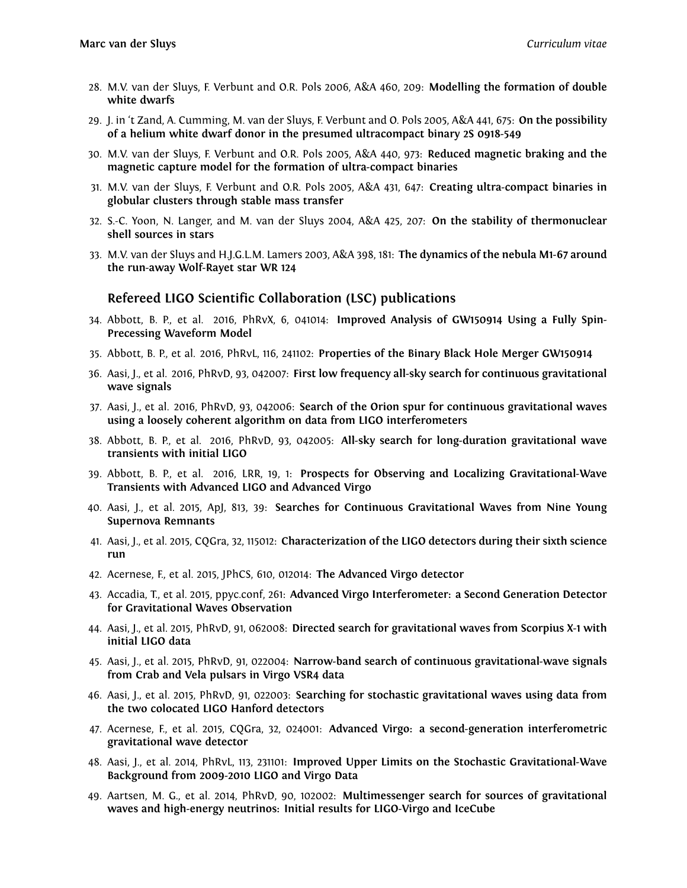- 28. M.V. van der Sluys, F. Verbunt and O.R. Pols 2006, A&A 460, 209: **Modelling the formation of double white dwarfs**
- 29. J. in 't Zand, A. Cumming, M. van der Sluys, F. Verbunt and O. Pols 2005, A&A 441, 675: **On the possibility of a helium white dwarf donor in the presumed ultracompact binary 2S 0918-549**
- 30. M.V. van der Sluys, F. Verbunt and O.R. Pols 2005, A&A 440, 973: **Reduced magnetic braking and the magnetic capture model for the formation of ultra-compact binaries**
- 31. M.V. van der Sluys, F. Verbunt and O.R. Pols 2005, A&A 431, 647: **Creating ultra-compact binaries in globular clusters through stable mass transfer**
- 32. S.-C. Yoon, N. Langer, and M. van der Sluys 2004, A&A 425, 207: **On the stability of thermonuclear shell sources in stars**
- 33. M.V. van der Sluys and H.J.G.L.M. Lamers 2003, A&A 398, 181: **The dynamics of the nebula M1-67 around the run-away Wolf-Rayet star WR 124**

#### **Refereed LIGO Scientific Collaboration (LSC) publications**

- 34. Abbott, B. P., et al. 2016, PhRvX, 6, 041014: **Improved Analysis of GW150914 Using a Fully Spin-Precessing Waveform Model**
- 35. Abbott, B. P., et al. 2016, PhRvL, 116, 241102: **Properties of the Binary Black Hole Merger GW150914**
- 36. Aasi, J., et al. 2016, PhRvD, 93, 042007: **First low frequency all-sky search for continuous gravitational wave signals**
- 37. Aasi, J., et al. 2016, PhRvD, 93, 042006: **Search of the Orion spur for continuous gravitational waves using a loosely coherent algorithm on data from LIGO interferometers**
- 38. Abbott, B. P., et al. 2016, PhRvD, 93, 042005: **All-sky search for long-duration gravitational wave transients with initial LIGO**
- 39. Abbott, B. P., et al. 2016, LRR, 19, 1: **Prospects for Observing and Localizing Gravitational-Wave Transients with Advanced LIGO and Advanced Virgo**
- 40. Aasi, J., et al. 2015, ApJ, 813, 39: **Searches for Continuous Gravitational Waves from Nine Young Supernova Remnants**
- 41. Aasi, J., et al. 2015, CQGra, 32, 115012: **Characterization of the LIGO detectors during their sixth science run**
- 42. Acernese, F., et al. 2015, JPhCS, 610, 012014: **The Advanced Virgo detector**
- 43. Accadia, T., et al. 2015, ppyc.conf, 261: **Advanced Virgo Interferometer: a Second Generation Detector for Gravitational Waves Observation**
- 44. Aasi, J., et al. 2015, PhRvD, 91, 062008: **Directed search for gravitational waves from Scorpius X-1 with initial LIGO data**
- 45. Aasi, J., et al. 2015, PhRvD, 91, 022004: **Narrow-band search of continuous gravitational-wave signals from Crab and Vela pulsars in Virgo VSR4 data**
- 46. Aasi, J., et al. 2015, PhRvD, 91, 022003: **Searching for stochastic gravitational waves using data from the two colocated LIGO Hanford detectors**
- 47. Acernese, F., et al. 2015, CQGra, 32, 024001: **Advanced Virgo: a second-generation interferometric gravitational wave detector**
- 48. Aasi, J., et al. 2014, PhRvL, 113, 231101: **Improved Upper Limits on the Stochastic Gravitational-Wave Background from 2009-2010 LIGO and Virgo Data**
- 49. Aartsen, M. G., et al. 2014, PhRvD, 90, 102002: **Multimessenger search for sources of gravitational waves and high-energy neutrinos: Initial results for LIGO-Virgo and IceCube**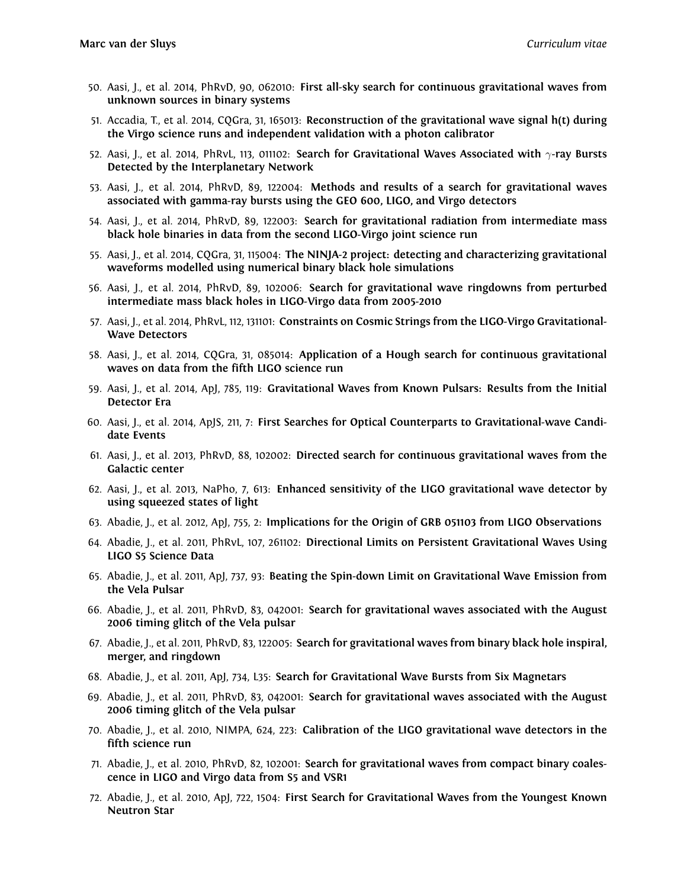- 50. Aasi, J., et al. 2014, PhRvD, 90, 062010: **First all-sky search for continuous gravitational waves from unknown sources in binary systems**
- 51. Accadia, T., et al. 2014, CQGra, 31, 165013: **Reconstruction of the gravitational wave signal h(t) during the Virgo science runs and independent validation with a photon calibrator**
- 52. Aasi, J., et al. 2014, PhRvL, 113, 011102: **Search for Gravitational Waves Associated with** *γ***-ray Bursts Detected by the Interplanetary Network**
- 53. Aasi, J., et al. 2014, PhRvD, 89, 122004: **Methods and results of a search for gravitational waves associated with gamma-ray bursts using the GEO 600, LIGO, and Virgo detectors**
- 54. Aasi, J., et al. 2014, PhRvD, 89, 122003: **Search for gravitational radiation from intermediate mass black hole binaries in data from the second LIGO-Virgo joint science run**
- 55. Aasi, J., et al. 2014, CQGra, 31, 115004: **The NINJA-2 project: detecting and characterizing gravitational waveforms modelled using numerical binary black hole simulations**
- 56. Aasi, J., et al. 2014, PhRvD, 89, 102006: **Search for gravitational wave ringdowns from perturbed intermediate mass black holes in LIGO-Virgo data from 2005-2010**
- 57. Aasi, J., et al. 2014, PhRvL, 112, 131101: **Constraints on Cosmic Strings from the LIGO-Virgo Gravitational-Wave Detectors**
- 58. Aasi, J., et al. 2014, CQGra, 31, 085014: **Application of a Hough search for continuous gravitational waves on data from the fifth LIGO science run**
- 59. Aasi, J., et al. 2014, ApJ, 785, 119: **Gravitational Waves from Known Pulsars: Results from the Initial Detector Era**
- 60. Aasi, J., et al. 2014, ApJS, 211, 7: **First Searches for Optical Counterparts to Gravitational-wave Candidate Events**
- 61. Aasi, J., et al. 2013, PhRvD, 88, 102002: **Directed search for continuous gravitational waves from the Galactic center**
- 62. Aasi, J., et al. 2013, NaPho, 7, 613: **Enhanced sensitivity of the LIGO gravitational wave detector by using squeezed states of light**
- 63. Abadie, J., et al. 2012, ApJ, 755, 2: **Implications for the Origin of GRB 051103 from LIGO Observations**
- 64. Abadie, J., et al. 2011, PhRvL, 107, 261102: **Directional Limits on Persistent Gravitational Waves Using LIGO S5 Science Data**
- 65. Abadie, J., et al. 2011, ApJ, 737, 93: **Beating the Spin-down Limit on Gravitational Wave Emission from the Vela Pulsar**
- 66. Abadie, J., et al. 2011, PhRvD, 83, 042001: **Search for gravitational waves associated with the August 2006 timing glitch of the Vela pulsar**
- 67. Abadie, J., et al. 2011, PhRvD, 83, 122005: **Search for gravitational waves from binary black hole inspiral, merger, and ringdown**
- 68. Abadie, J., et al. 2011, ApJ, 734, L35: **Search for Gravitational Wave Bursts from Six Magnetars**
- 69. Abadie, J., et al. 2011, PhRvD, 83, 042001: **Search for gravitational waves associated with the August 2006 timing glitch of the Vela pulsar**
- 70. Abadie, J., et al. 2010, NIMPA, 624, 223: **Calibration of the LIGO gravitational wave detectors in the fifth science run**
- 71. Abadie, J., et al. 2010, PhRvD, 82, 102001: **Search for gravitational waves from compact binary coalescence in LIGO and Virgo data from S5 and VSR1**
- 72. Abadie, J., et al. 2010, ApJ, 722, 1504: **First Search for Gravitational Waves from the Youngest Known Neutron Star**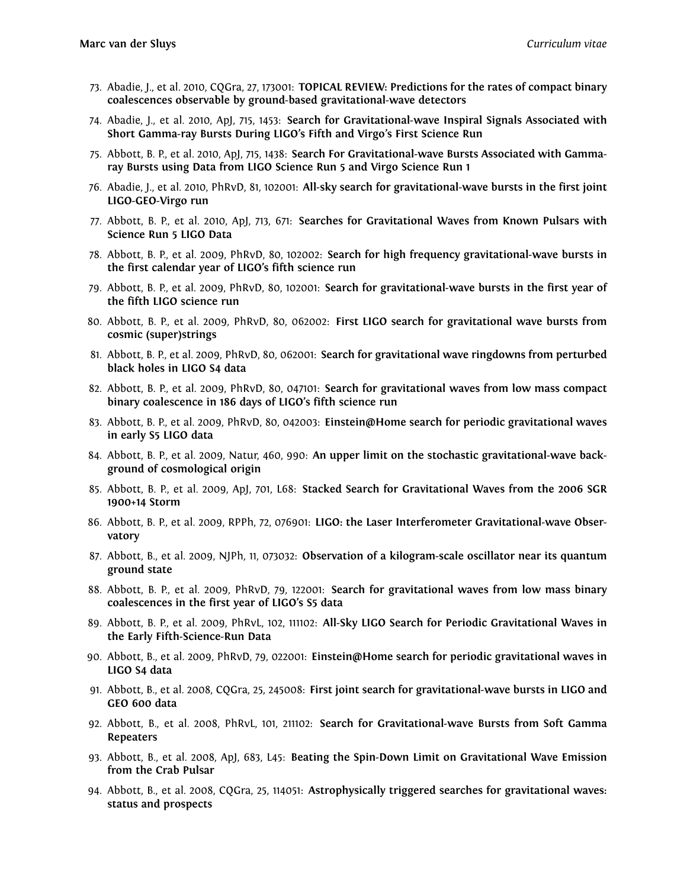- 73. Abadie, J., et al. 2010, CQGra, 27, 173001: **TOPICAL REVIEW: Predictions for the rates of compact binary coalescences observable by ground-based gravitational-wave detectors**
- 74. Abadie, J., et al. 2010, ApJ, 715, 1453: **Search for Gravitational-wave Inspiral Signals Associated with Short Gamma-ray Bursts During LIGO's Fifth and Virgo's First Science Run**
- 75. Abbott, B. P., et al. 2010, ApJ, 715, 1438: **Search For Gravitational-wave Bursts Associated with Gammaray Bursts using Data from LIGO Science Run 5 and Virgo Science Run 1**
- 76. Abadie, J., et al. 2010, PhRvD, 81, 102001: **All-sky search for gravitational-wave bursts in the first joint LIGO-GEO-Virgo run**
- 77. Abbott, B. P., et al. 2010, ApJ, 713, 671: **Searches for Gravitational Waves from Known Pulsars with Science Run 5 LIGO Data**
- 78. Abbott, B. P., et al. 2009, PhRvD, 80, 102002: **Search for high frequency gravitational-wave bursts in the first calendar year of LIGO's fifth science run**
- 79. Abbott, B. P., et al. 2009, PhRvD, 80, 102001: **Search for gravitational-wave bursts in the first year of the fifth LIGO science run**
- 80. Abbott, B. P., et al. 2009, PhRvD, 80, 062002: **First LIGO search for gravitational wave bursts from cosmic (super)strings**
- 81. Abbott, B. P., et al. 2009, PhRvD, 80, 062001: **Search for gravitational wave ringdowns from perturbed black holes in LIGO S4 data**
- 82. Abbott, B. P., et al. 2009, PhRvD, 80, 047101: **Search for gravitational waves from low mass compact binary coalescence in 186 days of LIGO's fifth science run**
- 83. Abbott, B. P., et al. 2009, PhRvD, 80, 042003: **Einstein@Home search for periodic gravitational waves in early S5 LIGO data**
- 84. Abbott, B. P., et al. 2009, Natur, 460, 990: **An upper limit on the stochastic gravitational-wave background of cosmological origin**
- 85. Abbott, B. P., et al. 2009, ApJ, 701, L68: **Stacked Search for Gravitational Waves from the 2006 SGR 1900+14 Storm**
- 86. Abbott, B. P., et al. 2009, RPPh, 72, 076901: **LIGO: the Laser Interferometer Gravitational-wave Observatory**
- 87. Abbott, B., et al. 2009, NJPh, 11, 073032: **Observation of a kilogram-scale oscillator near its quantum ground state**
- 88. Abbott, B. P., et al. 2009, PhRvD, 79, 122001: **Search for gravitational waves from low mass binary coalescences in the first year of LIGO's S5 data**
- 89. Abbott, B. P., et al. 2009, PhRvL, 102, 111102: **All-Sky LIGO Search for Periodic Gravitational Waves in the Early Fifth-Science-Run Data**
- 90. Abbott, B., et al. 2009, PhRvD, 79, 022001: **Einstein@Home search for periodic gravitational waves in LIGO S4 data**
- 91. Abbott, B., et al. 2008, CQGra, 25, 245008: **First joint search for gravitational-wave bursts in LIGO and GEO 600 data**
- 92. Abbott, B., et al. 2008, PhRvL, 101, 211102: **Search for Gravitational-wave Bursts from Soft Gamma Repeaters**
- 93. Abbott, B., et al. 2008, ApJ, 683, L45: **Beating the Spin-Down Limit on Gravitational Wave Emission from the Crab Pulsar**
- 94. Abbott, B., et al. 2008, CQGra, 25, 114051: **Astrophysically triggered searches for gravitational waves: status and prospects**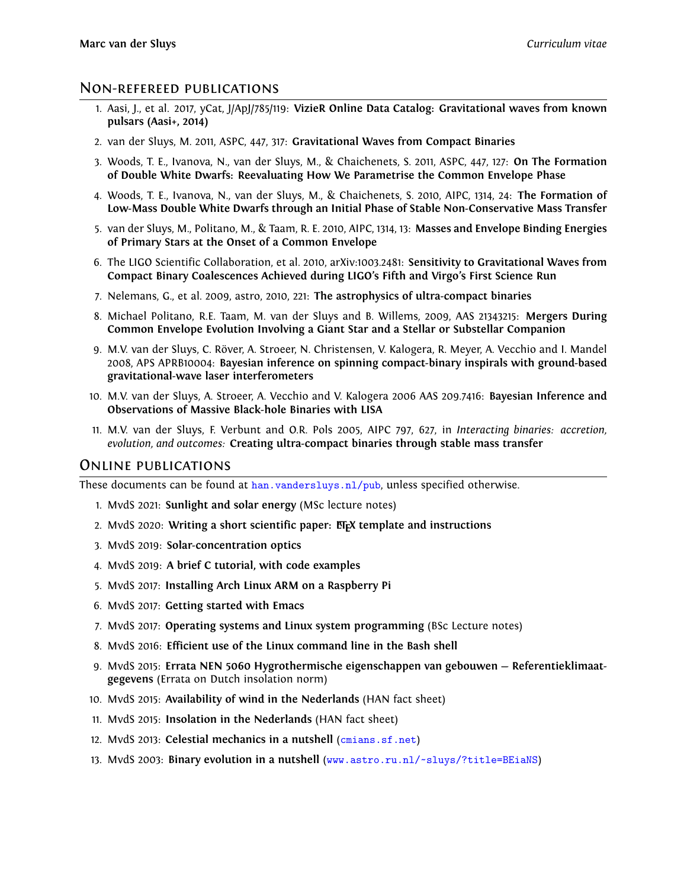#### Non-refereed publications

- 1. Aasi, J., et al. 2017, yCat, J/ApJ/785/119: **VizieR Online Data Catalog: Gravitational waves from known pulsars (Aasi+, 2014)**
- 2. van der Sluys, M. 2011, ASPC, 447, 317: **Gravitational Waves from Compact Binaries**
- 3. Woods, T. E., Ivanova, N., van der Sluys, M., & Chaichenets, S. 2011, ASPC, 447, 127: **On The Formation of Double White Dwarfs: Reevaluating How We Parametrise the Common Envelope Phase**
- 4. Woods, T. E., Ivanova, N., van der Sluys, M., & Chaichenets, S. 2010, AIPC, 1314, 24: **The Formation of Low-Mass Double White Dwarfs through an Initial Phase of Stable Non-Conservative Mass Transfer**
- 5. van der Sluys, M., Politano, M., & Taam, R. E. 2010, AIPC, 1314, 13: **Masses and Envelope Binding Energies of Primary Stars at the Onset of a Common Envelope**
- 6. The LIGO Scientific Collaboration, et al. 2010, arXiv:1003.2481: **Sensitivity to Gravitational Waves from Compact Binary Coalescences Achieved during LIGO's Fifth and Virgo's First Science Run**
- 7. Nelemans, G., et al. 2009, astro, 2010, 221: **The astrophysics of ultra-compact binaries**
- 8. Michael Politano, R.E. Taam, M. van der Sluys and B. Willems, 2009, AAS 21343215: **Mergers During Common Envelope Evolution Involving a Giant Star and a Stellar or Substellar Companion**
- 9. M.V. van der Sluys, C. Röver, A. Stroeer, N. Christensen, V. Kalogera, R. Meyer, A. Vecchio and I. Mandel 2008, APS APRB10004: **Bayesian inference on spinning compact-binary inspirals with ground-based gravitational-wave laser interferometers**
- 10. M.V. van der Sluys, A. Stroeer, A. Vecchio and V. Kalogera 2006 AAS 209.7416: **Bayesian Inference and Observations of Massive Black-hole Binaries with LISA**
- 11. M.V. van der Sluys, F. Verbunt and O.R. Pols 2005, AIPC 797, 627, in *Interacting binaries: accretion, evolution, and outcomes:* **Creating ultra-compact binaries through stable mass transfer**

#### Online publications

These documents can be found at [han.vandersluys.nl/pub](http://han.vandersluys.nl/pub), unless specified otherwise.

- 1. MvdS 2021: **Sunlight and solar energy** (MSc lecture notes)
- 2. MvdS 2020: **Writing a short scientific paper: LATEX template and instructions**
- 3. MvdS 2019: **Solar-concentration optics**
- 4. MvdS 2019: **A brief C tutorial, with code examples**
- 5. MvdS 2017: **Installing Arch Linux ARM on a Raspberry Pi**
- 6. MvdS 2017: **Getting started with Emacs**
- 7. MvdS 2017: **Operating systems and Linux system programming** (BSc Lecture notes)
- 8. MvdS 2016: **Efficient use of the Linux command line in the Bash shell**
- 9. MvdS 2015: **Errata NEN 5060 Hygrothermische eigenschappen van gebouwen Referentieklimaatgegevens** (Errata on Dutch insolation norm)
- 10. MvdS 2015: **Availability of wind in the Nederlands** (HAN fact sheet)
- 11. MvdS 2015: **Insolation in the Nederlands** (HAN fact sheet)
- 12. MvdS 2013: **Celestial mechanics in a nutshell** ([cmians.sf.net](http://cmians.sf.net))
- 13. MvdS 2003: **Binary evolution in a nutshell** ([www.astro.ru.nl/~sluys/?title=BEiaNS](http://www.astro.ru.nl/~sluys/?title=BEiaNS))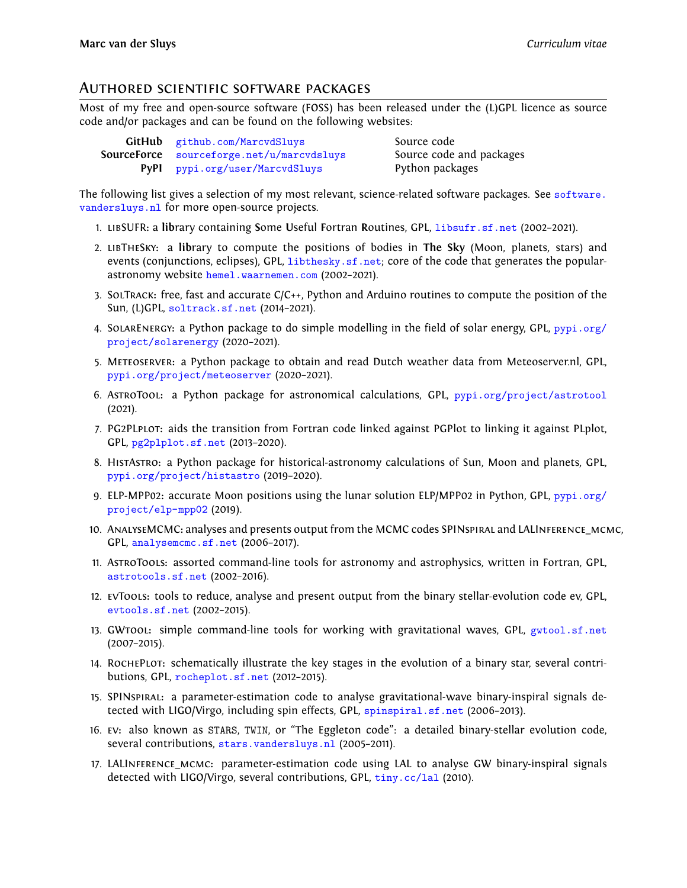#### Authored scientific software packages

Most of my free and open-source software (FOSS) has been released under the (L)GPL licence as source code and/or packages and can be found on the following websites:

| GitHub github.com/MarcvdSluys                    |
|--------------------------------------------------|
| <b>SourceForce</b> sourceforge.net/u/marcvdsluys |
| PyPI pypi.org/user/MarcvdSluys                   |

Source code Source code and packages Python packages

The following list gives a selection of my most relevant, science-related software packages. See [software.](http://software.vandersluys.nl) [vandersluys.nl](http://software.vandersluys.nl) for more open-source projects.

- 1. libSUFR**:** a **lib**rary containing **S**ome **U**seful **F**ortran **R**outines, GPL, [libsufr.sf.net](http://libsufr.sf.net) (2002–2021).
- 2. libTheSky**:** a **lib**rary to compute the positions of bodies in **The Sky** (Moon, planets, stars) and events (conjunctions, eclipses), GPL, [libthesky.sf.net](http://libthesky.sf.net); core of the code that generates the popularastronomy website [hemel.waarnemen.com](http://hemel.waarnemen.com) (2002–2021).
- 3. SolTrack**:** free, fast and accurate C/C++, Python and Arduino routines to compute the position of the Sun, (L)GPL, [soltrack.sf.net](http://soltrack.sf.net) (2014–2021).
- 4. SolarEnergy**:** a Python package to do simple modelling in the field of solar energy, GPL, [pypi.org/](http://pypi.org/project/solarenergy) [project/solarenergy](http://pypi.org/project/solarenergy) (2020–2021).
- 5. Meteoserver**:** a Python package to obtain and read Dutch weather data from Meteoserver.nl, GPL, [pypi.org/project/meteoserver](http://pypi.org/project/meteoserver) (2020–2021).
- 6. AstroTool**:** a Python package for astronomical calculations, GPL, [pypi.org/project/astrotool](http://pypi.org/project/astrotool) (2021).
- 7. PG2PLplot**:** aids the transition from Fortran code linked against PGPlot to linking it against PLplot, GPL, [pg2plplot.sf.net](http://pg2plplot.sf.net) (2013–2020).
- 8. HistAstro**:** a Python package for historical-astronomy calculations of Sun, Moon and planets, GPL, [pypi.org/project/histastro](http://pypi.org/project/histastro) (2019–2020).
- 9. ELP-MPP02**:** accurate Moon positions using the lunar solution ELP/MPP02 in Python, GPL, [pypi.org/](http://pypi.org/project/elp-mpp02) [project/elp-mpp02](http://pypi.org/project/elp-mpp02) (2019).
- 10. AnalyseMCMC**:** analyses and presents output from the MCMC codes SPINspiral and LALInference\_mcmc, GPL, [analysemcmc.sf.net](http://analysemcmc.sf.net) (2006–2017).
- 11. AstroTools**:** assorted command-line tools for astronomy and astrophysics, written in Fortran, GPL, [astrotools.sf.net](http://astrotools.sf.net) (2002–2016).
- 12. evTools**:** tools to reduce, analyse and present output from the binary stellar-evolution code ev, GPL, [evtools.sf.net](http://evtools.sf.net) (2002–2015).
- 13. GWtool**:** simple command-line tools for working with gravitational waves, GPL, [gwtool.sf.net](http://gwtool.sf.net) (2007–2015).
- 14. RochePlot**:** schematically illustrate the key stages in the evolution of a binary star, several contributions, GPL, [rocheplot.sf.net](http://rocheplot.sf.net) (2012–2015).
- 15. SPINspiral**:** a parameter-estimation code to analyse gravitational-wave binary-inspiral signals detected with LIGO/Virgo, including spin effects, GPL, [spinspiral.sf.net](http://spinspiral.sf.net) (2006–2013).
- 16. ev**:** also known as STARS, TWIN, or "The Eggleton code": a detailed binary-stellar evolution code, several contributions, [stars.vandersluys.nl](http://stars.vandersluys.nl) (2005-2011).
- 17. LALInference\_mcmc**:** parameter-estimation code using LAL to analyse GW binary-inspiral signals detected with LIGO/Virgo, several contributions, GPL, [tiny.cc/lal](http://tiny.cc/lal) (2010).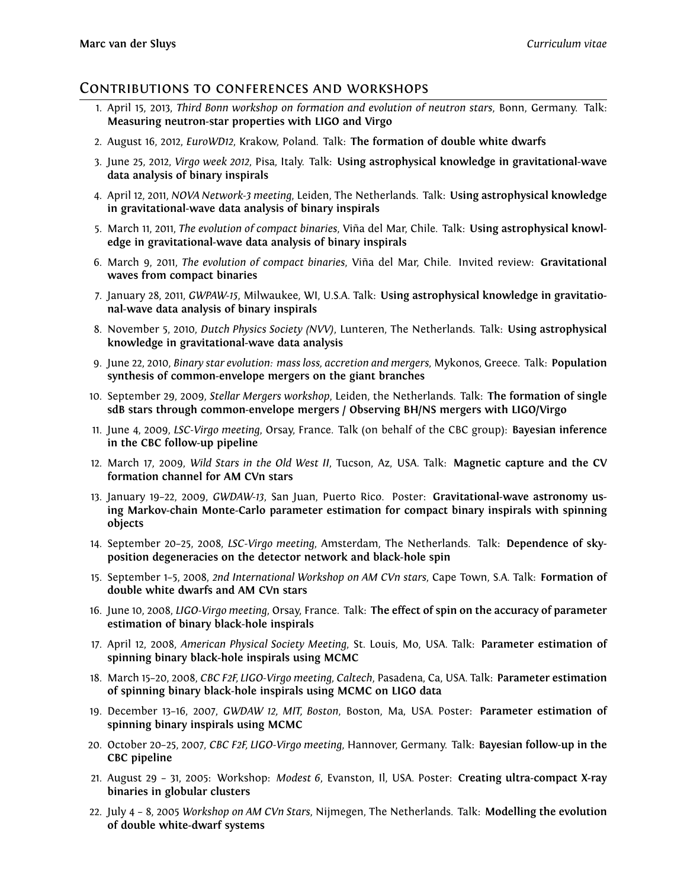#### Contributions to conferences and workshops

- 1. April 15, 2013, *Third Bonn workshop on formation and evolution of neutron stars*, Bonn, Germany. Talk: **Measuring neutron-star properties with LIGO and Virgo**
- 2. August 16, 2012, *EuroWD12*, Krakow, Poland. Talk: **The formation of double white dwarfs**
- 3. June 25, 2012, *Virgo week 2012*, Pisa, Italy. Talk: **Using astrophysical knowledge in gravitational-wave data analysis of binary inspirals**
- 4. April 12, 2011, *NOVA Network-3 meeting*, Leiden, The Netherlands. Talk: **Using astrophysical knowledge in gravitational-wave data analysis of binary inspirals**
- 5. March 11, 2011, *The evolution of compact binaries*, Viña del Mar, Chile. Talk: **Using astrophysical knowledge in gravitational-wave data analysis of binary inspirals**
- 6. March 9, 2011, *The evolution of compact binaries*, Viña del Mar, Chile. Invited review: **Gravitational waves from compact binaries**
- 7. January 28, 2011, *GWPAW-15*, Milwaukee, WI, U.S.A. Talk: **Using astrophysical knowledge in gravitational-wave data analysis of binary inspirals**
- 8. November 5, 2010, *Dutch Physics Society (NVV)*, Lunteren, The Netherlands. Talk: **Using astrophysical knowledge in gravitational-wave data analysis**
- 9. June 22, 2010, *Binary star evolution: mass loss, accretion and mergers*, Mykonos, Greece. Talk: **Population synthesis of common-envelope mergers on the giant branches**
- 10. September 29, 2009, *Stellar Mergers workshop*, Leiden, the Netherlands. Talk: **The formation of single sdB stars through common-envelope mergers / Observing BH/NS mergers with LIGO/Virgo**
- 11. June 4, 2009, *LSC-Virgo meeting*, Orsay, France. Talk (on behalf of the CBC group): **Bayesian inference in the CBC follow-up pipeline**
- 12. March 17, 2009, *Wild Stars in the Old West II*, Tucson, Az, USA. Talk: **Magnetic capture and the CV formation channel for AM CVn stars**
- 13. January 19–22, 2009, *GWDAW-13*, San Juan, Puerto Rico. Poster: **Gravitational-wave astronomy using Markov-chain Monte-Carlo parameter estimation for compact binary inspirals with spinning objects**
- 14. September 20–25, 2008, *LSC-Virgo meeting*, Amsterdam, The Netherlands. Talk: **Dependence of skyposition degeneracies on the detector network and black-hole spin**
- 15. September 1–5, 2008, *2nd International Workshop on AM CVn stars*, Cape Town, S.A. Talk: **Formation of double white dwarfs and AM CVn stars**
- 16. June 10, 2008, *LIGO-Virgo meeting*, Orsay, France. Talk: **The effect of spin on the accuracy of parameter estimation of binary black-hole inspirals**
- 17. April 12, 2008, *American Physical Society Meeting*, St. Louis, Mo, USA. Talk: **Parameter estimation of spinning binary black-hole inspirals using MCMC**
- 18. March 15–20, 2008, *CBC F2F, LIGO-Virgo meeting, Caltech*, Pasadena, Ca, USA. Talk: **Parameter estimation of spinning binary black-hole inspirals using MCMC on LIGO data**
- 19. December 13–16, 2007, *GWDAW 12, MIT, Boston*, Boston, Ma, USA. Poster: **Parameter estimation of spinning binary inspirals using MCMC**
- 20. October 20–25, 2007, *CBC F2F, LIGO-Virgo meeting*, Hannover, Germany. Talk: **Bayesian follow-up in the CBC pipeline**
- 21. August 29 31, 2005: Workshop: *Modest 6*, Evanston, Il, USA. Poster: **Creating ultra-compact X-ray binaries in globular clusters**
- 22. July 4 8, 2005 *Workshop on AM CVn Stars*, Nijmegen, The Netherlands. Talk: **Modelling the evolution of double white-dwarf systems**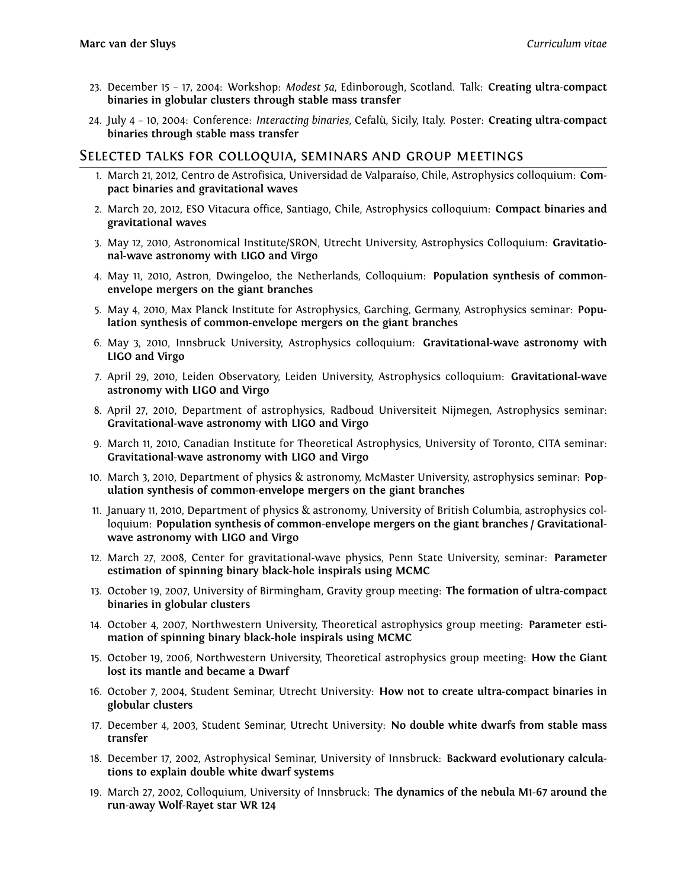- 23. December 15 17, 2004: Workshop: *Modest 5a*, Edinborough, Scotland. Talk: **Creating ultra-compact binaries in globular clusters through stable mass transfer**
- 24. July 4 10, 2004: Conference: *Interacting binaries*, Cefalù, Sicily, Italy. Poster: **Creating ultra-compact binaries through stable mass transfer**

#### Selected talks for colloquia, seminars and group meetings

- 1. March 21, 2012, Centro de Astrofisica, Universidad de Valparaíso, Chile, Astrophysics colloquium: **Compact binaries and gravitational waves**
- 2. March 20, 2012, ESO Vitacura office, Santiago, Chile, Astrophysics colloquium: **Compact binaries and gravitational waves**
- 3. May 12, 2010, Astronomical Institute/SRON, Utrecht University, Astrophysics Colloquium: **Gravitational-wave astronomy with LIGO and Virgo**
- 4. May 11, 2010, Astron, Dwingeloo, the Netherlands, Colloquium: **Population synthesis of commonenvelope mergers on the giant branches**
- 5. May 4, 2010, Max Planck Institute for Astrophysics, Garching, Germany, Astrophysics seminar: **Population synthesis of common-envelope mergers on the giant branches**
- 6. May 3, 2010, Innsbruck University, Astrophysics colloquium: **Gravitational-wave astronomy with LIGO and Virgo**
- 7. April 29, 2010, Leiden Observatory, Leiden University, Astrophysics colloquium: **Gravitational-wave astronomy with LIGO and Virgo**
- 8. April 27, 2010, Department of astrophysics, Radboud Universiteit Nijmegen, Astrophysics seminar: **Gravitational-wave astronomy with LIGO and Virgo**
- 9. March 11, 2010, Canadian Institute for Theoretical Astrophysics, University of Toronto, CITA seminar: **Gravitational-wave astronomy with LIGO and Virgo**
- 10. March 3, 2010, Department of physics & astronomy, McMaster University, astrophysics seminar: **Population synthesis of common-envelope mergers on the giant branches**
- 11. January 11, 2010, Department of physics & astronomy, University of British Columbia, astrophysics colloquium: **Population synthesis of common-envelope mergers on the giant branches / Gravitationalwave astronomy with LIGO and Virgo**
- 12. March 27, 2008, Center for gravitational-wave physics, Penn State University, seminar: **Parameter estimation of spinning binary black-hole inspirals using MCMC**
- 13. October 19, 2007, University of Birmingham, Gravity group meeting: **The formation of ultra-compact binaries in globular clusters**
- 14. October 4, 2007, Northwestern University, Theoretical astrophysics group meeting: **Parameter estimation of spinning binary black-hole inspirals using MCMC**
- 15. October 19, 2006, Northwestern University, Theoretical astrophysics group meeting: **How the Giant lost its mantle and became a Dwarf**
- 16. October 7, 2004, Student Seminar, Utrecht University: **How not to create ultra-compact binaries in globular clusters**
- 17. December 4, 2003, Student Seminar, Utrecht University: **No double white dwarfs from stable mass transfer**
- 18. December 17, 2002, Astrophysical Seminar, University of Innsbruck: **Backward evolutionary calculations to explain double white dwarf systems**
- 19. March 27, 2002, Colloquium, University of Innsbruck: **The dynamics of the nebula M1-67 around the run-away Wolf-Rayet star WR 124**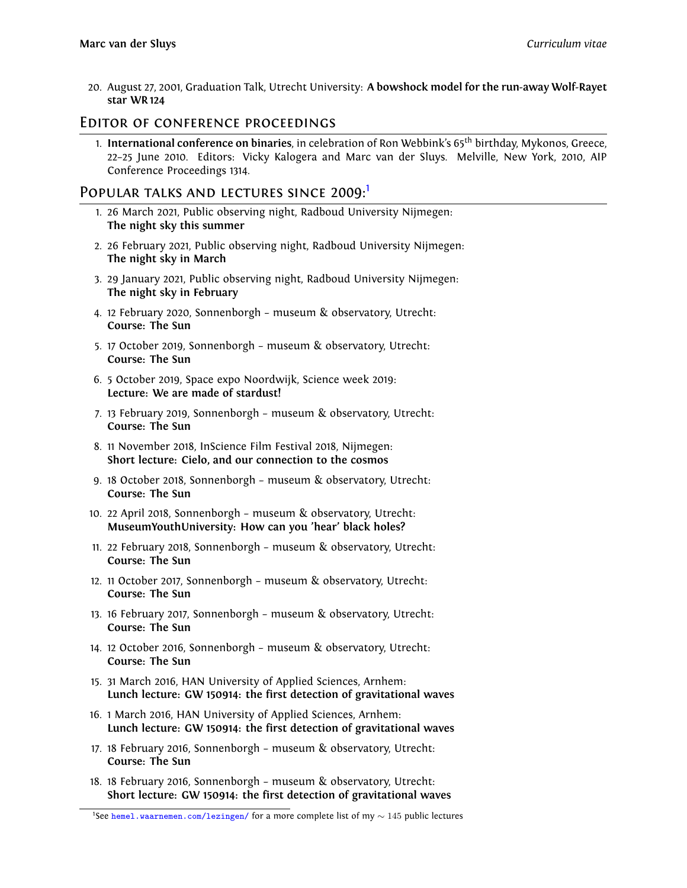20. August 27, 2001, Graduation Talk, Utrecht University: **A bowshock model for the run-away Wolf-Rayet star WR 124**

#### Editor of conference proceedings

1. **International conference on binaries**, in celebration of Ron Webbink's 65th birthday, Mykonos, Greece, 22–25 June 2010. Editors: Vicky Kalogera and Marc van der Sluys. Melville, New York, 2010, AIP Conference Proceedings 1314.

#### POPULAR TALKS AND LECTURES SINCE 2009:

- 1. 26 March 2021, Public observing night, Radboud University Nijmegen: **The night sky this summer**
- 2. 26 February 2021, Public observing night, Radboud University Nijmegen: **The night sky in March**
- 3. 29 January 2021, Public observing night, Radboud University Nijmegen: **The night sky in February**
- 4. 12 February 2020, Sonnenborgh museum & observatory, Utrecht: **Course: The Sun**
- 5. 17 October 2019, Sonnenborgh museum & observatory, Utrecht: **Course: The Sun**
- 6. 5 October 2019, Space expo Noordwijk, Science week 2019: **Lecture: We are made of stardust!**
- 7. 13 February 2019, Sonnenborgh museum & observatory, Utrecht: **Course: The Sun**
- 8. 11 November 2018, InScience Film Festival 2018, Nijmegen: **Short lecture: Cielo, and our connection to the cosmos**
- 9. 18 October 2018, Sonnenborgh museum & observatory, Utrecht: **Course: The Sun**
- 10. 22 April 2018, Sonnenborgh museum & observatory, Utrecht: **MuseumYouthUniversity: How can you 'hear' black holes?**
- 11. 22 February 2018, Sonnenborgh museum & observatory, Utrecht: **Course: The Sun**
- 12. 11 October 2017, Sonnenborgh museum & observatory, Utrecht: **Course: The Sun**
- 13. 16 February 2017, Sonnenborgh museum & observatory, Utrecht: **Course: The Sun**
- 14. 12 October 2016, Sonnenborgh museum & observatory, Utrecht: **Course: The Sun**
- 15. 31 March 2016, HAN University of Applied Sciences, Arnhem: **Lunch lecture: GW 150914: the first detection of gravitational waves**
- 16. 1 March 2016, HAN University of Applied Sciences, Arnhem: **Lunch lecture: GW 150914: the first detection of gravitational waves**
- 17. 18 February 2016, Sonnenborgh museum & observatory, Utrecht: **Course: The Sun**
- 18. 18 February 2016, Sonnenborgh museum & observatory, Utrecht: **Short lecture: GW 150914: the first detection of gravitational waves**

<span id="page-12-0"></span><sup>1</sup>See [hemel.waarnemen.com/lezingen/](http://hemel.waarnemen.com/lezingen/) for a more complete list of my *<sup>∼</sup>* <sup>145</sup> public lectures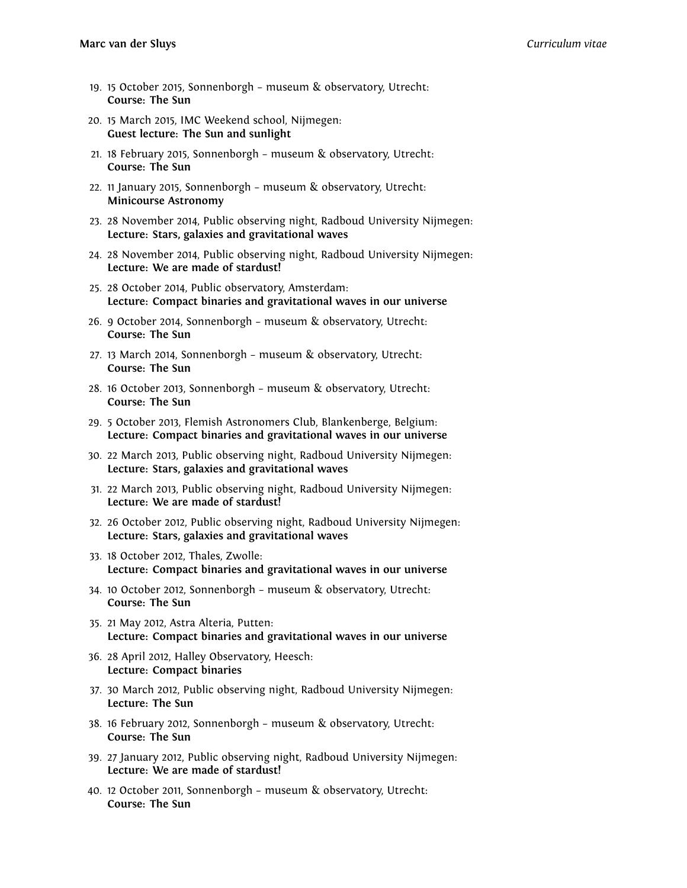- 19. 15 October 2015, Sonnenborgh museum & observatory, Utrecht: **Course: The Sun**
- 20. 15 March 2015, IMC Weekend school, Nijmegen: **Guest lecture: The Sun and sunlight**
- 21. 18 February 2015, Sonnenborgh museum & observatory, Utrecht: **Course: The Sun**
- 22. 11 January 2015, Sonnenborgh museum & observatory, Utrecht: **Minicourse Astronomy**
- 23. 28 November 2014, Public observing night, Radboud University Nijmegen: **Lecture: Stars, galaxies and gravitational waves**
- 24. 28 November 2014, Public observing night, Radboud University Nijmegen: **Lecture: We are made of stardust!**
- 25. 28 October 2014, Public observatory, Amsterdam: **Lecture: Compact binaries and gravitational waves in our universe**
- 26. 9 October 2014, Sonnenborgh museum & observatory, Utrecht: **Course: The Sun**
- 27. 13 March 2014, Sonnenborgh museum & observatory, Utrecht: **Course: The Sun**
- 28. 16 October 2013, Sonnenborgh museum & observatory, Utrecht: **Course: The Sun**
- 29. 5 October 2013, Flemish Astronomers Club, Blankenberge, Belgium: **Lecture: Compact binaries and gravitational waves in our universe**
- 30. 22 March 2013, Public observing night, Radboud University Nijmegen: **Lecture: Stars, galaxies and gravitational waves**
- 31. 22 March 2013, Public observing night, Radboud University Nijmegen: **Lecture: We are made of stardust!**
- 32. 26 October 2012, Public observing night, Radboud University Nijmegen: **Lecture: Stars, galaxies and gravitational waves**
- 33. 18 October 2012, Thales, Zwolle: **Lecture: Compact binaries and gravitational waves in our universe**
- 34. 10 October 2012, Sonnenborgh museum & observatory, Utrecht: **Course: The Sun**
- 35. 21 May 2012, Astra Alteria, Putten: **Lecture: Compact binaries and gravitational waves in our universe**
- 36. 28 April 2012, Halley Observatory, Heesch: **Lecture: Compact binaries**
- 37. 30 March 2012, Public observing night, Radboud University Nijmegen: **Lecture: The Sun**
- 38. 16 February 2012, Sonnenborgh museum & observatory, Utrecht: **Course: The Sun**
- 39. 27 January 2012, Public observing night, Radboud University Nijmegen: **Lecture: We are made of stardust!**
- 40. 12 October 2011, Sonnenborgh museum & observatory, Utrecht: **Course: The Sun**